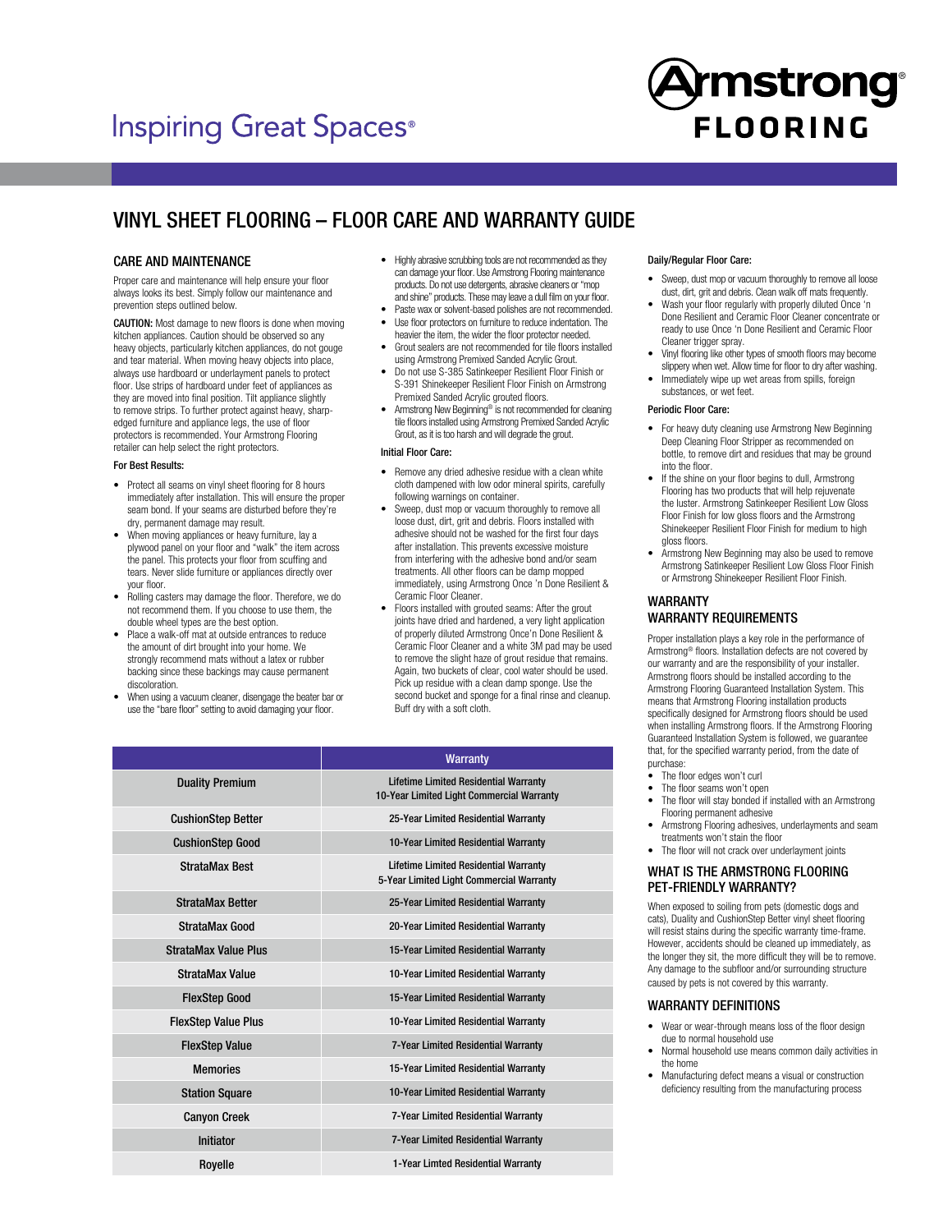# **Inspiring Great Spaces®**



## VINYL SHEET FLOORING – FLOOR CARE AND WARRANTY GUIDE

#### CARE AND MAINTENANCE

Proper care and maintenance will help ensure your floor always looks its best. Simply follow our maintenance and prevention steps outlined below.

CAUTION: Most damage to new floors is done when moving kitchen appliances. Caution should be observed so any heavy objects, particularly kitchen appliances, do not gouge and tear material. When moving heavy objects into place, always use hardboard or underlayment panels to protect floor. Use strips of hardboard under feet of appliances as they are moved into final position. Tilt appliance slightly to remove strips. To further protect against heavy, sharpedged furniture and appliance legs, the use of floor protectors is recommended. Your Armstrong Flooring retailer can help select the right protectors.

#### For Best Results:

- Protect all seams on vinyl sheet flooring for 8 hours immediately after installation. This will ensure the proper seam bond. If your seams are disturbed before they're dry, permanent damage may result.
- When moving appliances or heavy furniture, lay a plywood panel on your floor and "walk" the item across the panel. This protects your floor from scuffing and tears. Never slide furniture or appliances directly over your floor.
- Rolling casters may damage the floor. Therefore, we do not recommend them. If you choose to use them, the double wheel types are the best option.
- Place a walk-off mat at outside entrances to reduce the amount of dirt brought into your home. We strongly recommend mats without a latex or rubber backing since these backings may cause permanent discoloration.
- When using a vacuum cleaner, disengage the beater bar or use the "bare floor" setting to avoid damaging your floor.
- Highly abrasive scrubbing tools are not recommended as they can damage your floor. Use Armstrong Flooring maintenance products. Do not use detergents, abrasive cleaners or "mop and shine" products. These may leave a dull film on your floor.
- Paste wax or solvent-based polishes are not recommended. • Use floor protectors on furniture to reduce indentation. The
- heavier the item, the wider the floor protector needed. • Grout sealers are not recommended for tile floors installed
- using Armstrong Premixed Sanded Acrylic Grout.
- Do not use S-385 Satinkeeper Resilient Floor Finish or S-391 Shinekeeper Resilient Floor Finish on Armstrong Premixed Sanded Acrylic grouted floors.
- Armstrong New Beginning® is not recommended for cleaning tile floors installed using Armstrong Premixed Sanded Acrylic Grout, as it is too harsh and will degrade the grout.

#### Initial Floor Care:

- Remove any dried adhesive residue with a clean white cloth dampened with low odor mineral spirits, carefully following warnings on container.
- Sweep, dust mop or vacuum thoroughly to remove all loose dust, dirt, grit and debris. Floors installed with adhesive should not be washed for the first four days after installation. This prevents excessive moisture from interfering with the adhesive bond and/or seam treatments. All other floors can be damp mopped immediately, using Armstrong Once 'n Done Resilient & Ceramic Floor Cleaner.
- Floors installed with grouted seams: After the grout joints have dried and hardened, a very light application of properly diluted Armstrong Once'n Done Resilient & Ceramic Floor Cleaner and a white 3M pad may be used to remove the slight haze of grout residue that remains. Again, two buckets of clear, cool water should be used. Pick up residue with a clean damp sponge. Use the second bucket and sponge for a final rinse and cleanup. Buff dry with a soft cloth.

|                             | <b>Warranty</b>                                                                           |
|-----------------------------|-------------------------------------------------------------------------------------------|
| <b>Duality Premium</b>      | <b>Lifetime Limited Residential Warranty</b><br>10-Year Limited Light Commercial Warranty |
| <b>CushionStep Better</b>   | 25-Year Limited Residential Warranty                                                      |
| <b>CushionStep Good</b>     | 10-Year Limited Residential Warranty                                                      |
| <b>StrataMax Best</b>       | <b>Lifetime Limited Residential Warranty</b><br>5-Year Limited Light Commercial Warranty  |
| <b>StrataMax Better</b>     | 25-Year Limited Residential Warranty                                                      |
| <b>StrataMax Good</b>       | 20-Year Limited Residential Warranty                                                      |
| <b>StrataMax Value Plus</b> | 15-Year Limited Residential Warranty                                                      |
| StrataMax Value             | 10-Year Limited Residential Warranty                                                      |
| <b>FlexStep Good</b>        | 15-Year Limited Residential Warranty                                                      |
| <b>FlexStep Value Plus</b>  | 10-Year Limited Residential Warranty                                                      |
| <b>FlexStep Value</b>       | 7-Year Limited Residential Warranty                                                       |
| <b>Memories</b>             | 15-Year Limited Residential Warranty                                                      |
| <b>Station Square</b>       | 10-Year Limited Residential Warranty                                                      |
| <b>Canyon Creek</b>         | 7-Year Limited Residential Warranty                                                       |
| <b>Initiator</b>            | 7-Year Limited Residential Warranty                                                       |
| Royelle                     | 1-Year Limted Residential Warranty                                                        |

#### Daily/Regular Floor Care:

- Sweep, dust mop or vacuum thoroughly to remove all loose dust, dirt, grit and debris. Clean walk off mats frequently.
- Wash your floor regularly with properly diluted Once 'n Done Resilient and Ceramic Floor Cleaner concentrate or ready to use Once 'n Done Resilient and Ceramic Floor Cleaner trigger spray.
- Vinyl flooring like other types of smooth floors may become slippery when wet. Allow time for floor to dry after washing.
- Immediately wipe up wet areas from spills, foreign substances, or wet feet.

#### Periodic Floor Care:

- For heavy duty cleaning use Armstrong New Beginning Deep Cleaning Floor Stripper as recommended on bottle, to remove dirt and residues that may be ground into the floor.
- If the shine on your floor begins to dull, Armstrong Flooring has two products that will help rejuvenate the luster. Armstrong Satinkeeper Resilient Low Gloss Floor Finish for low gloss floors and the Armstrong Shinekeeper Resilient Floor Finish for medium to high gloss floors.
- Armstrong New Beginning may also be used to remove Armstrong Satinkeeper Resilient Low Gloss Floor Finish or Armstrong Shinekeeper Resilient Floor Finish.

#### WARRANTY WARRANTY REQUIREMENTS

Proper installation plays a key role in the performance of Armstrong® floors. Installation defects are not covered by our warranty and are the responsibility of your installer. Armstrong floors should be installed according to the Armstrong Flooring Guaranteed Installation System. This means that Armstrong Flooring installation products specifically designed for Armstrong floors should be used when installing Armstrong floors. If the Armstrong Flooring Guaranteed Installation System is followed, we guarantee that, for the specified warranty period, from the date of purchase:

- The floor edges won't curl
- The floor seams won't open
- The floor will stay bonded if installed with an Armstrong Flooring permanent adhesive
- Armstrong Flooring adhesives, underlayments and seam treatments won't stain the floor
- The floor will not crack over underlayment joints

#### WHAT IS THE ARMSTRONG FLOORING PET-FRIENDLY WARRANTY?

When exposed to soiling from pets (domestic dogs and cats), Duality and CushionStep Better vinyl sheet flooring will resist stains during the specific warranty time-frame. However, accidents should be cleaned up immediately, as the longer they sit, the more difficult they will be to remove. Any damage to the subfloor and/or surrounding structure caused by pets is not covered by this warranty.

#### WARRANTY DEFINITIONS

- Wear or wear-through means loss of the floor design due to normal household use
- Normal household use means common daily activities in the home
- Manufacturing defect means a visual or construction deficiency resulting from the manufacturing process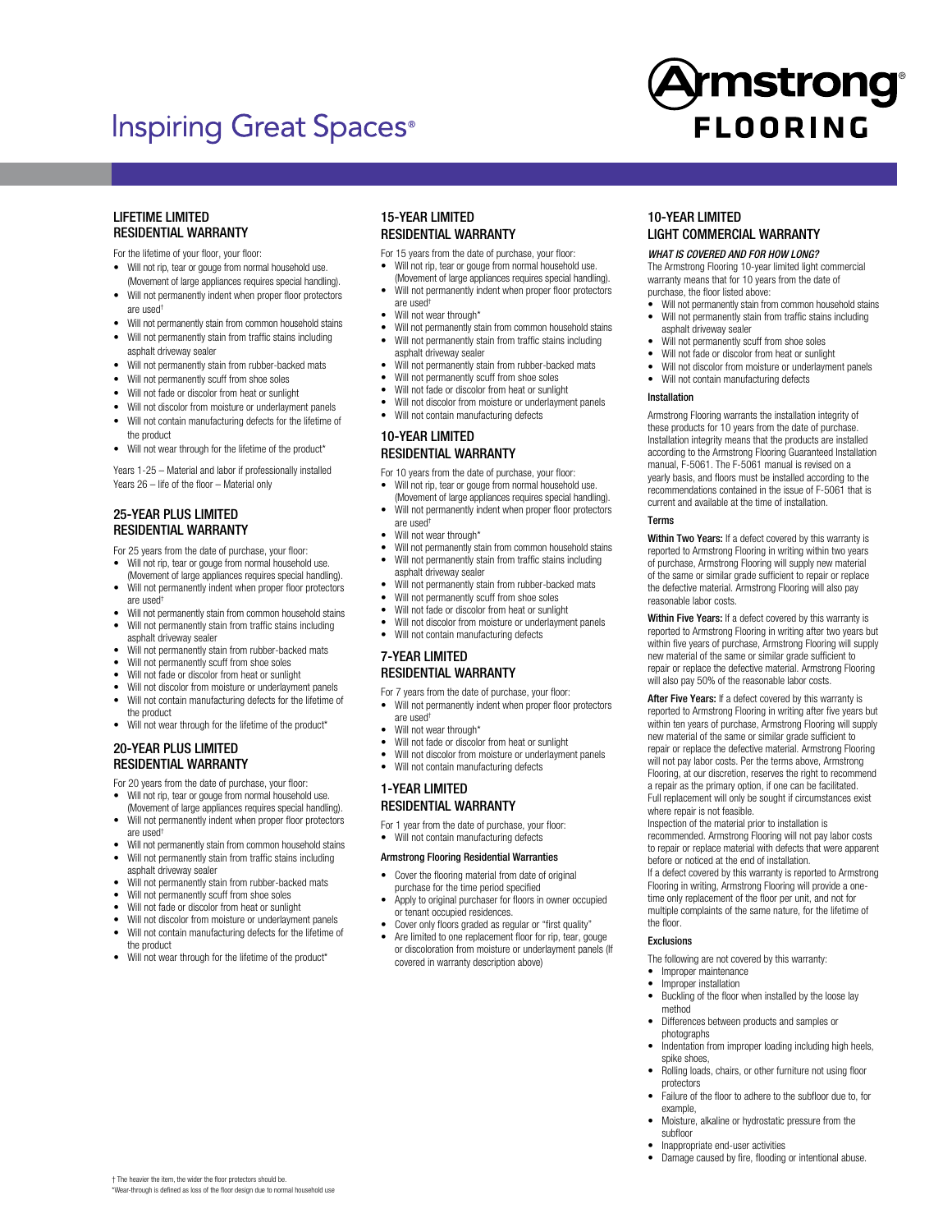## **Inspiring Great Spaces**<sup>®</sup>



### LIFETIME LIMITED RESIDENTIAL WARRANTY

- For the lifetime of your floor, your floor:
- Will not rip, tear or gouge from normal household use. (Movement of large appliances requires special handling).
- Will not permanently indent when proper floor protectors are used†
- Will not permanently stain from common household stains
- Will not permanently stain from traffic stains including asphalt driveway sealer
- Will not permanently stain from rubber-backed mats
- Will not permanently scuff from shoe soles
- Will not fade or discolor from heat or sunlight
- Will not discolor from moisture or underlayment panels • Will not contain manufacturing defects for the lifetime of
- the product
- Will not wear through for the lifetime of the product\*

Years 1-25 – Material and labor if professionally installed Years 26 – life of the floor – Material only

## 25-YEAR PLUS LIMITED RESIDENTIAL WARRANTY

For 25 years from the date of purchase, your floor:

- Will not rip, tear or gouge from normal household use. (Movement of large appliances requires special handling).
- Will not permanently indent when proper floor protectors are used†
- Will not permanently stain from common household stains Will not permanently stain from traffic stains including
- asphalt driveway sealer Will not permanently stain from rubber-backed mats
- Will not permanently scuff from shoe soles
- Will not fade or discolor from heat or sunlight
- Will not discolor from moisture or underlayment panels
- Will not contain manufacturing defects for the lifetime of the product
- Will not wear through for the lifetime of the product\*

## 20-YEAR PLUS LIMITED RESIDENTIAL WARRANTY

For 20 years from the date of purchase, your floor:

- Will not rip, tear or gouge from normal household use. (Movement of large appliances requires special handling).
- Will not permanently indent when proper floor protectors are used†
- Will not permanently stain from common household stains • Will not permanently stain from traffic stains including
- asphalt driveway sealer
- Will not permanently stain from rubber-backed mats
- Will not permanently scuff from shoe soles
- Will not fade or discolor from heat or sunlight

† The heavier the item, the wider the floor protectors should be. \*Wear-through is defined as loss of the floor design due to normal household use

- Will not discolor from moisture or underlayment panels • Will not contain manufacturing defects for the lifetime of
- the product • Will not wear through for the lifetime of the product\*

## 15-YEAR LIMITED RESIDENTIAL WARRANTY

- For 15 years from the date of purchase, your floor:
- Will not rip, tear or gouge from normal household use. (Movement of large appliances requires special handling).
- Will not permanently indent when proper floor protectors are used†
- Will not wear through\*
- Will not permanently stain from common household stains Will not permanently stain from traffic stains including asphalt driveway sealer
- Will not permanently stain from rubber-backed mats
- Will not permanently scuff from shoe soles
- Will not fade or discolor from heat or sunlight
- Will not discolor from moisture or underlayment panels
- Will not contain manufacturing defects

## 10-YEAR LIMITED RESIDENTIAL WARRANTY

For 10 years from the date of purchase, your floor:

- Will not rip, tear or gouge from normal household use. (Movement of large appliances requires special handling).
- Will not permanently indent when proper floor protectors are used†
	- Will not wear through\*
- Will not permanently stain from common household stains Will not permanently stain from traffic stains including
- asphalt driveway sealer
- Will not permanently stain from rubber-backed mats Will not permanently scuff from shoe soles
- Will not fade or discolor from heat or sunlight
- 
- Will not discolor from moisture or underlayment panels • Will not contain manufacturing defects

## 7-YEAR LIMITED RESIDENTIAL WARRANTY

## For 7 years from the date of purchase, your floor:

- Will not permanently indent when proper floor protectors are used†
- 
- Will not wear through\*
- Will not fade or discolor from heat or sunlight
- Will not discolor from moisture or underlayment panels • Will not contain manufacturing defects

## 1-YEAR LIMITED RESIDENTIAL WARRANTY

- For 1 year from the date of purchase, your floor:
- Will not contain manufacturing defects

#### Armstrong Flooring Residential Warranties

- Cover the flooring material from date of original purchase for the time period specified
- Apply to original purchaser for floors in owner occupied or tenant occupied residences.
- Cover only floors graded as regular or "first quality"
- Are limited to one replacement floor for rip, tear, gouge or discoloration from moisture or underlayment panels (If covered in warranty description above)

## 10-YEAR LIMITED LIGHT COMMERCIAL WARRANTY

#### *WHAT IS COVERED AND FOR HOW LONG?*

The Armstrong Flooring 10-year limited light commercial warranty means that for 10 years from the date of purchase, the floor listed above:

- Will not permanently stain from common household stains Will not permanently stain from traffic stains including asphalt driveway sealer
- Will not permanently scuff from shoe soles
- Will not fade or discolor from heat or sunlight
- Will not discolor from moisture or underlayment panels
- Will not contain manufacturing defects

#### Installation

Armstrong Flooring warrants the installation integrity of these products for 10 years from the date of purchase. Installation integrity means that the products are installed according to the Armstrong Flooring Guaranteed Installation manual, F-5061. The F-5061 manual is revised on a yearly basis, and floors must be installed according to the recommendations contained in the issue of F-5061 that is current and available at the time of installation.

#### **T**erme

Within Two Years: If a defect covered by this warranty is reported to Armstrong Flooring in writing within two years of purchase, Armstrong Flooring will supply new material of the same or similar grade sufficient to repair or replace the defective material. Armstrong Flooring will also pay reasonable labor costs.

Within Five Years: If a defect covered by this warranty is reported to Armstrong Flooring in writing after two years but within five years of purchase, Armstrong Flooring will supply new material of the same or similar grade sufficient to repair or replace the defective material. Armstrong Flooring will also pay 50% of the reasonable labor costs.

After Five Years: If a defect covered by this warranty is reported to Armstrong Flooring in writing after five years but within ten years of purchase, Armstrong Flooring will supply new material of the same or similar grade sufficient to repair or replace the defective material. Armstrong Flooring will not pay labor costs. Per the terms above, Armstrong Flooring, at our discretion, reserves the right to recommend a repair as the primary option, if one can be facilitated. Full replacement will only be sought if circumstances exist where repair is not feasible.

Inspection of the material prior to installation is recommended. Armstrong Flooring will not pay labor costs to repair or replace material with defects that were apparent before or noticed at the end of installation. If a defect covered by this warranty is reported to Armstrong Flooring in writing, Armstrong Flooring will provide a onetime only replacement of the floor per unit, and not for multiple complaints of the same nature, for the lifetime of the floor.

#### Exclusions

The following are not covered by this warranty:

- Improper maintenance
- Improper installation • Buckling of the floor when installed by the loose lay method
- Differences between products and samples or photographs
- Indentation from improper loading including high heels, spike shoes,
- Rolling loads, chairs, or other furniture not using floor protectors
- Failure of the floor to adhere to the subfloor due to, for example,
- Moisture, alkaline or hydrostatic pressure from the subfloor
- Inappropriate end-user activities
- Damage caused by fire, flooding or intentional abuse.